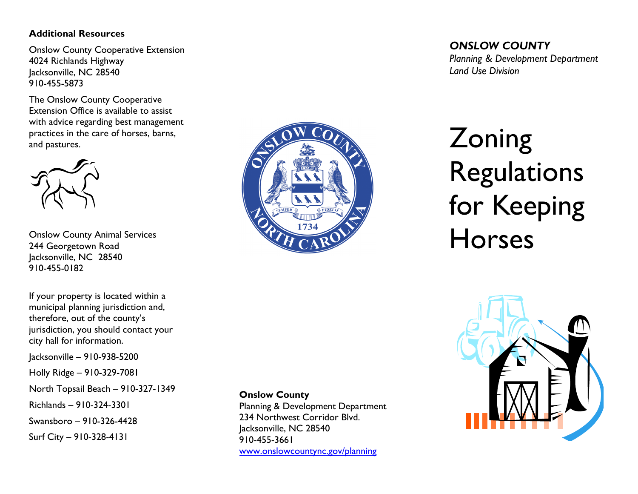## **Additional Resources**

Onslow County Cooperative Extension 4024 Richlands Highway Jacksonville, NC 28540 910-455-5873

The Onslow County Cooperative Extension Office is available to assist with advice regarding best management practices in the care of horses, barns, and pastures.



Onslow County Animal Services 244 Georgetown Road Jacksonville, NC 28540 910-455-0182

If your property is located within a municipal planning jurisdiction and, therefore, out of the county's jurisdiction, you should contact your city hall for information.

Jacksonville – 910-938-5200

Holly Ridge – 910-329-7081

North Topsail Beach – 910-327-1349

Richlands – 910-324-3301

Swansboro – 910-326-4428

Surf City – 910-328-4131



## **Onslow County**

 Planning & Development Department 234 Northwest Corridor Blvd. Jacksonville, NC 28540 910-455-3661

www.onslowcountync.gov/planning

*ONSLOW COUNTY Planning & Development Department Land Use Division* 

# **Zoning** Regulations for Keeping Horses